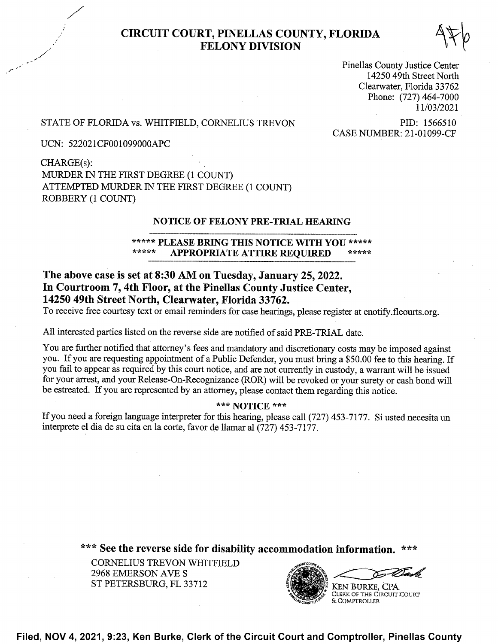# CIRCUIT COURT, PINELLAS COUNTY, FLORIDA<br>FELONY DIVISION

Pinellas County Justice Center 14250 49th Street North Clearwater, Florida 33762 Phone: (727) 464-7000 <sup>1</sup> 1/03/2021

## STATE OF FLORIDA vs. WHITFIELD, CORNELIUS TREVON PID: 1566510<br>CASE NUMBER: 21-01099-CF

UCN: 522021CF001099000APC

CHARGE(s) MURDER 1N THE FIRST DEGREE (1 COUNT) ATTEMPTED MURDER IN THE FIRST DEGREE (1 COUNT) ROBBERY (1 COUNT)

### NOTICE OF FELONY PRE-TRIAL HEARING

## \*\*\*\*\* PLEASE BRING THIS NOTICE WITH YOU \*\*\*\*\*<br>\*\*\*\*\* APPROPPLATE ATTIPE PEOUDED APPROPRIATE ATTIRE REQUIRED

## The above case is set at 8:30 AM on Tuesday, January 25, 2022. In Courtroom 7, 4th Floor, at the Pinellas County Justice Center, 14250 49th Street North, Clearwater, Florida 33762.

To receive free courtesy text or email reminders for case hearings, please register at enotify.flcourts.org.

A11 interested parties listed on the reverse side are notified of said PRE—TRIAL date.

You are further notified that attorney's fees and mandatory. and discretionary costs may be imposed against you. If you are requesting appointment of a Public Defender, you must bring a \$50.00 fee to this hearing. If you fail to appear as required by this court notice, and are not currently in custody, a warrant will be issued for your arrest, and your Release-On-Recognizance (ROR) will be revoked or your surety or cash bond Will be estreated. If you are represented by an attorney, please contact them regarding this notice.

### \*\*\* NOTICE \*\*\*

If you need a foreign language interpreter for this hearing, please call (727) 453-7177. Si usted necesita un interprete el dia de su cita en 1a corte, favor de llamar a1 (727) 453-7177.

\*\*\* See the reverse side for disability accommodation information.

CORNELIUS TREVON WHITFIELD <sup>2968</sup> EMERSON AVE ST PETERSBURG, FL 33712



Filed, NOV 4, 2021, 9:23, Ken Burke, Clerk of the Circuit Court and Comptroller, Pinellas County